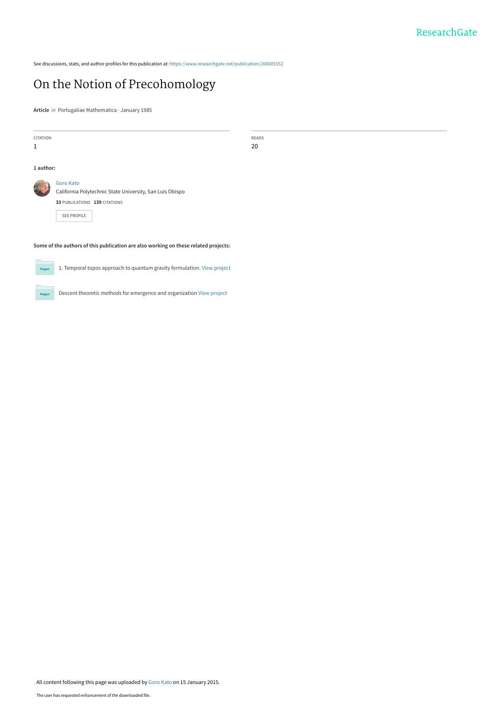See discussions, stats, and author profiles for this publication at: [https://www.researchgate.net/publication/268005552](https://www.researchgate.net/publication/268005552_On_the_Notion_of_Precohomology?enrichId=rgreq-ad5fd9dc793d61d4b9a17d3af08b5371-XXX&enrichSource=Y292ZXJQYWdlOzI2ODAwNTU1MjtBUzoxODU5MzgyNjEwNjE2MzNAMTQyMTM0MjU0NDU4MQ%3D%3D&el=1_x_2&_esc=publicationCoverPdf)

# [On the Notion of Precohomology](https://www.researchgate.net/publication/268005552_On_the_Notion_of_Precohomology?enrichId=rgreq-ad5fd9dc793d61d4b9a17d3af08b5371-XXX&enrichSource=Y292ZXJQYWdlOzI2ODAwNTU1MjtBUzoxODU5MzgyNjEwNjE2MzNAMTQyMTM0MjU0NDU4MQ%3D%3D&el=1_x_3&_esc=publicationCoverPdf)

**Article** in Portugaliae Mathematica · January 1985

Project

| CITATION  |                                                                                     | READS |  |  |
|-----------|-------------------------------------------------------------------------------------|-------|--|--|
| 1         |                                                                                     | 20    |  |  |
|           |                                                                                     |       |  |  |
| 1 author: |                                                                                     |       |  |  |
|           | <b>Goro Kato</b>                                                                    |       |  |  |
|           | California Polytechnic State University, San Luis Obispo                            |       |  |  |
|           | 33 PUBLICATIONS 139 CITATIONS                                                       |       |  |  |
|           | SEE PROFILE                                                                         |       |  |  |
|           |                                                                                     |       |  |  |
|           |                                                                                     |       |  |  |
|           | Some of the authors of this publication are also working on these related projects: |       |  |  |
| Project   | 1. Temporal topos approach to quantum gravity formulation. View project             |       |  |  |
|           |                                                                                     |       |  |  |

Descent theoretic methods for emergence and organization [View project](https://www.researchgate.net/project/Descent-theoretic-methods-for-emergence-and-organization?enrichId=rgreq-ad5fd9dc793d61d4b9a17d3af08b5371-XXX&enrichSource=Y292ZXJQYWdlOzI2ODAwNTU1MjtBUzoxODU5MzgyNjEwNjE2MzNAMTQyMTM0MjU0NDU4MQ%3D%3D&el=1_x_9&_esc=publicationCoverPdf)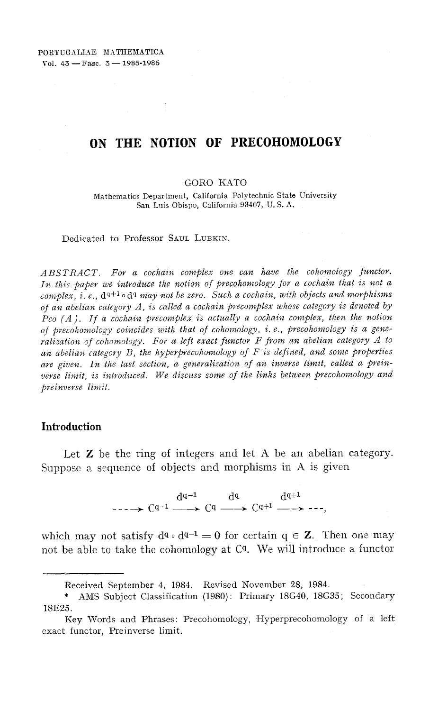## **ON THE NOTION OF PRECOHOMOLOGY**

#### GORO KATO

Mathematics Department, California Polytechnic State University San Luis Obispo, California 93407, U. S. A,

Dedicated to Professor SAUL LUBKIN,

*ABSTRACT. For a cochain complex one can have the cohomology functor.*  In this paper we introduce the notion of precohomology for a cochain that is not a *complex, i.e.,*  $d^{q+1} \circ d^q$  may not be zero. Such a cochain, with objects and morphisms *of an abelian category A,* is *called a cochain precomplex whose category* is *denoted by Pco (A). If a cochain precomplex* is *actually a cochain complex, then the notion of precohomology coincides with that of cohomology,* i. *e., precohomology* is *a generalization of cohomology, For a left exact functor F from an abelian category A to an abelian category B, the hyperprecohomology of F* is *defined, and some properties*  are given. In the last section, a generalization of an inverse limit, called a prein*verse limit,* is *introduced, We discuss some of the links between precohomology and preinverse limit.* 

#### **Introduction**

Let Z be the ring of integers and **let** A be an abelian category. Suppose a sequence of objects and morphisms in A is given

 $d^{q-1} \longrightarrow C^{q-1} \longrightarrow C^q \longrightarrow C^{q+1} \longrightarrow$ 

which may not satisfy  $d^q \circ d^{q-1} = 0$  for certain  $q \in \mathbb{Z}$ . Then one may not be able to take the cohomology at Cq. We will introduce a functor

Received September 4, 1984, Revised November 28, 1984,

<sup>\*</sup> AMS Subject Classification (1980): Primary 18G40, 18G35; Secondary 18E25.

Key Words and Phrases: Precohomology, Hyperprecohomology of a left exact functor, Preinverse limit.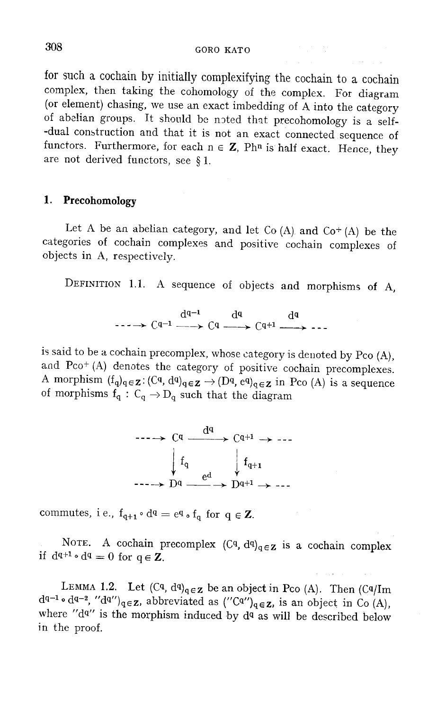308 GORO KATO

for such a cochain by initially complexifying the cochain to a cochain complex, then taking the cohomology of the complex. For diagram (or element) chasing, we use an exact imbedding of A into the category of abelian groups. It should be noted that precohomology is a self--dual construction and that it is not an exact connected sequence of functors. Furthermore, for each  $n \in \mathbb{Z}$ , Phn is half exact. Hence, they are not derived functors, see § 1.

## **1. Precohomology**

Let A be an abelian category, and let Co  $(A)$  and Co<sup>+</sup>  $(A)$  be the categories of cochain complexes and positive cochain complexes of objects in A, respectively.

DEFINITION 1.1. A sequence of objects and morphisms of A,

 $d^{q-1}$   $d^q$   $d^q$  $\cdots \rightarrow C^{q-1} \longrightarrow C^q \longrightarrow C^{q+1} \longrightarrow \cdots$ 

is said to be a cochain precomplex, whose category is denoted by Pco (A), and Pco+ (A) denotes the category of positive cochain precomplexes. A morphism  $(f_q)_{q \in \mathbf{Z}}$ :  $(Cq, d^q)_{q \in \mathbf{Z}} \to (D^q, e^q)_{q \in \mathbf{Z}}$  in Pco (A) is a sequence of morphisms  $f_q: C_q \to D_q$  such that the diagram



commutes, i.e.,  $f_{q+1} \circ d^q = e^q \circ f_q$  for  $q \in \mathbb{Z}$ .

NOTE. A cochain precomplex  $(C<sup>q</sup>, d<sup>q</sup>)<sub>q</sub> \in \mathbb{Z}$  is a cochain complex if  $d^{q+1} \circ d^q = 0$  for  $q \in \mathbb{Z}$ .

LEMMA 1.2. Let  $(Cq, dq)_{q \in \mathbb{Z}}$  be an object in Pco (A). Then  $(Cq/Im dq^{-1} \circ dq^{-2}$ , " $dq''$ )<sub>q $\in \mathbb{Z}$ </sub>, abbreviated as  $('Cq'')_{q \in \mathbb{Z}}$ , is an object in Co (A), where " $dq$ " is the morphism induced by  $dq$  as will be described below in the proof.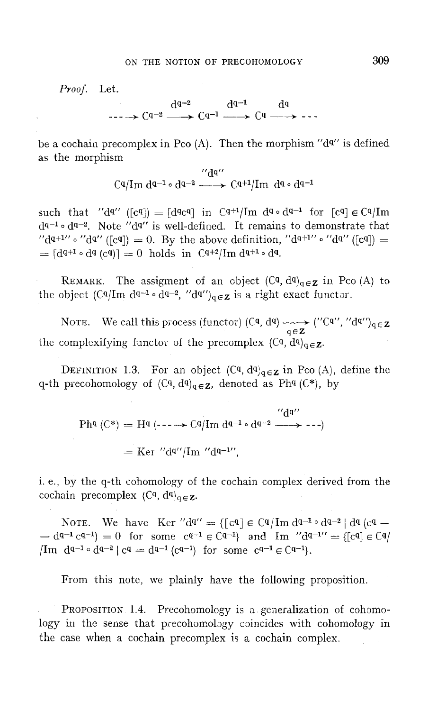*Proof.* Let.

 $d^{q-2}$   $d^{q-1}$   $d^q$ <br>  $\longrightarrow$  Cq-2  $\longrightarrow$  Cq-1  $\longrightarrow$  Cq  $\longrightarrow$  -

be a cochain precomplex in Pco (A). Then the morphism " $d^{q}$ " is defined as the morphism

" dq" Cqjlm dq-l 0 dq-2 --+ Cq+ljlm dq 0 dq-l

such that " $d^{q'}$  ([cq]) = [dqcq] in Cq+1/Im  $d^{q} \circ d^{q-1}$  for [cq]  $\in$  Cq/Im  $d^{q-1} \circ d^{q-2}$ . Note " $d^{q}$ " is well-defined. It remains to demonstrate that " $d^{q+1}$ "  $d^{q''}$  ([cq]) = 0. By the above definition, " $d^{q+1}$ "  $d^{q''}$  ([cq]) =  $=[d^{q+1} \circ d^q (c^q)]=0$  holds in  $C^{q+2}/Im d^{q+1} \circ d^q$ .

REMARK. The assigment of an object  $(C_q, d_q)_{q \in \mathbf{Z}}$  in Pco (A) to the object  $(Cq/m dq^{-1} \cdot dq^{-2}$ , " $dq''$ ) $_{q \in \mathbf{Z}}$  is a right exact functor.

NOTE. We call this process (functor) (Cq, dq)  $\longleftrightarrow$  ("Cq", "dq")<sub>q $\in$ Z</sub> the complexifying functor of the precomplex  $(C_q, d_q)_{q \in \mathbf{Z}}$ .

DEFINITION 1.3. For an object  $(Cq, dq)_{q \in \mathbf{Z}}$  in Pco (A), define the q-th precohomology of  $(C<sup>q</sup>, d<sup>q</sup>)<sub>q</sub> \in \mathbb{Z}$ , denoted as Ph<sup>q</sup> (C<sup>\*</sup>), by

$$
\begin{aligned} \text{Phq (C*)} &= \text{Hq (---)} \cdot \text{Cq/Im dq^{-1} \circ d^{q-2}} \xrightarrow{\text{``dq''}} \text{---} \rangle \\ &= \text{Ker \text{``dq''/Im \text{``dq--1''}}, \end{aligned}
$$

i. e., by the q-th cohomology of the cochain complex derived from the cochain precomplex  $(C_q, d_q)_{q \in \mathbf{Z}}$ .

NOTE. We have Ker " $d^{q'} = \{ \lceil c^q \rceil \in C^q / \text{Im } d^{q-1} \circ d^{q-2} \} d^q$  (cq - $-d^{q-1}c^{q-1} = 0$  for some  $c^{q-1} \in C^{q-1}$  and Im  $d^{q-1} = \{c^q \in C^q \}$  $\lim_{q \to 0} d^{q-1} \circ d^{q-2} \mid c^q = d^{q-1} \cdot (c^{q-1})$  for some  $c^{q-1} \in C^{q-1}$ .

From this note. we plainly have the following proposition.

PROPOSITION 1.4. Precohomology is a generalization of cohomology in the sense that precohomobgy coincides with cohomology in the case when a cochain precomplex is a cochain complex.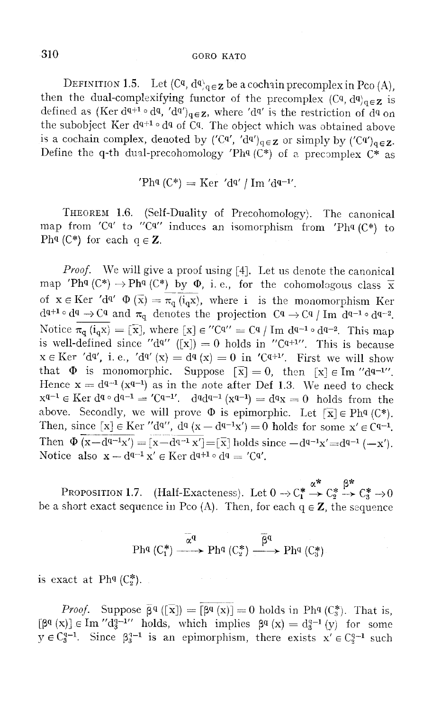## 310 GORO RATO

DEFINITION 1.5. Let  $(Cq, dq)_{q \in \mathbf{Z}}$  be a cochain precomplex in Pco (A), then the dual-complexifying functor of the precomplex  $(C_q, d_q)_{q \in \mathbf{Z}}$  is defined as (Ker dq+1  $\circ$  dq, 'dq')<sub>q</sub>  $\epsilon$ z, where 'dq' is the restriction of dq on the subobject Ker  $d^{q+1} \circ d^q$  of Cq. The object which was obtained above is a cochain complex, denoted by  $({\rm C}^{q'}$ ,  $'{\rm d}^{q'}$ <sub>q $\in$ Z</sub> or simply by  $({\rm C}^{q'})$ <sub>q $\in$ Z</sub>, Define the q-th dual-precohomology 'Phq  $(C^*)$  of a precomplex  $C^*$  as

'Phq (C\*) = Ker 'dq' / 1m 'dq-11.

THEOREM 1.6. (Self-Duality of Precohomology). The canonical map from 'Cq' to "Cq" induces an isomorphism from 'Phq  $(C^*)$  to Ph<sup>q</sup> (C<sup>\*</sup>) for each  $q \in \mathbb{Z}$ .

*Proof.* We will give a proof using [4]. Let us denote the canonical map 'Phq  $(\mathbb{C}^*)$   $\rightarrow$  Phq  $(\mathbb{C}^*)$  by  $\Phi$ , i. e., for the cohomologous class x of  $x \in \text{Ker } d^{q'} \Phi(\overline{x}) = \overline{\pi_q(i_q x)}$ , where i is the monomorphism Ker  $d^{q+1} \circ d^q \to C^q$  and  $\pi_q$  denotes the projection  $C^q \to C^q / Im \, d^{q-1} \circ d^{q-2}$ . Notice  $\overline{\pi_{q}(i_{q}x)} = [\overline{x}]$ , where  $[x] \in "C^{q} = C^{q} / Im \, d^{q-1} \circ d^{q-2}$ . This map is well-defined since "d<sup>q"</sup> ([x]) = 0 holds in "C<sup>q+1"</sup>. This is because  $x \in \text{Ker } d^q$ , i. e.,  $d^{q'}(x) = d^q(x) = 0$  in 'Cq<sup>+1'</sup>. First we will show that  $\Phi$  is monomorphic. Suppose  $\bar{x} = 0$ , then  $\bar{x} \in \text{Im}$  "dq-1". Hence  $x = d^{q-1}(x^{q-1})$  as in the note after Def 1.3. We need to check  $x^{q-1} \in \text{Ker } d^{q} \circ d^{q-1} = 'C^{q-1'}$ .  $d^{q}d^{q-1}(x^{q-1}) = d^{q}x = 0$  holds from the above. Secondly, we will prove  $\Phi$  is epimorphic. Let  $[\overline{x}] \in Ph^q(C^*)$ . Then, since  $[x] \in \text{Ker } \prime d^{q'}$ ,  $d^q(x - d^{q-1}x') = 0$  holds for some  $x' \in \text{C}^{q-1}$ . Then  $\Phi(x-d^{q-1}x') = [x-d^{q-1}x'] = [\overline{x}]$  holds since  $-d^{q-1}x' = d^{q-1}(-x')$ . Notice also  $x - d^{q-1}x' \in \text{Ker } d^{q+1} \circ d^q = 'C^q'.$ 

PROPOSITION 1.7. (Half-Exacteness). Let  $0 \rightarrow C_1^* \stackrel{\alpha^*}{\rightarrow} C_2^* \stackrel{\beta^*}{\rightarrow} C_3^* \rightarrow 0$ be a short exact sequence in Pco (A). Then, for each  $q \in \mathbb{Z}$ , the sequence

$$
\text{Ph}^q(C_1^*) \xrightarrow{\alpha^q} \text{Ph}^q(C_2^*) \xrightarrow{\beta^q} \text{Ph}^q(C_3^*)
$$

is exact at Ph<sup>q</sup>  $(C_2^*)$ .

*Proof.* Suppose  $\overline{\beta}^q$  ([x]) = [ $\beta^q$  (x)] = 0 holds in Ph<sup>q</sup> (C<sub>3</sub><sup>\*</sup>). That is,  $[\beta^q (x)] \in \text{Im}'' d_3^{q-1}$  holds, which implies  $\beta^q (x) = d_3^{q-1} (y)$  for some  $y \in C_3^{q-1}$ . Since  $\beta_3^{q-1}$  is an epimorphism, there exists  $x' \in C_3^{q-1}$  such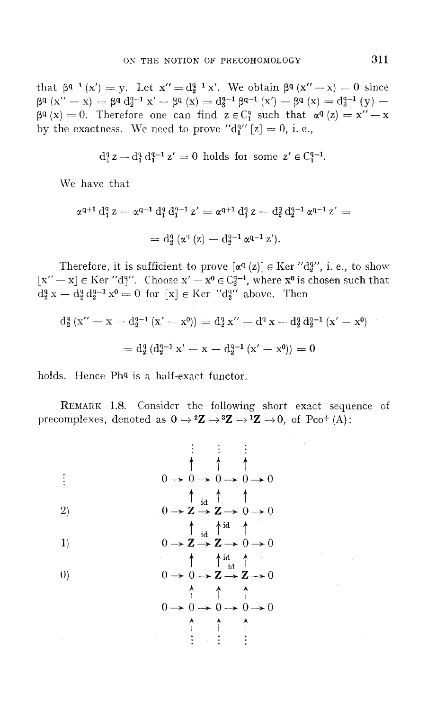that  $\beta^{q-1} (x') = y$ . Let  $x'' = d_q^{q-1} x'$ . We obtain  $\beta^q (x'' - x) = 0$  since  $\beta^{q}$   $(x'' - x) = \beta^{q} d_{2}^{q-1} x' - \beta^{q} (x) = d_{3}^{q-1} \beta^{q-1} (x') - \beta^{q} (x) = d_{3}^{q-1} (y) \beta^{q}(x) = 0$ . Therefore one can find  $z \in C_{1}^{q}$  such that  $\alpha^{q}(z) = x'' - x$ by the exactness. We need to prove " $d_1^{q}$ " [z] = 0, i. e.,

$$
d_1^q z - d_1^q d_1^{q-1} z' = 0
$$
 holds for some  $z' \in C_1^{q-1}$ .

We have that

$$
\begin{array}{l} \alpha^{q+1} \, \mathrm{d}^q_1 \, z - \alpha^{q+1} \, \mathrm{d}^q_1 \, \mathrm{d}^{q-1}_1 \, z' = \alpha^{q+1} \, \mathrm{d}^q_1 \, z - \mathrm{d}^q_2 \, \mathrm{d}^{q-1}_2 \, \alpha^{q-1} \, z' = \\ \\ = \mathrm{d}^q_2 \, (\alpha^q \, (z) - \mathrm{d}^{q-1}_2 \, \alpha^{q-1} \, z'). \end{array}
$$

Therefore, it is sufficient to prove  $[\alpha^q(z)] \in \text{Ker } \prime d_2^{q'}$ , i. e., to show  $[x'' - x] \in \text{Ker } T' d_j''$ . Choose  $x' - x^0 \in C_2^{q-1}$ , where  $x^0$  is chosen such that  $d_{2}^{q} x - d_{2}^{q} d_{2}^{q-1} x^{\theta} = 0$  for  $[x] \in \text{Ker}$  " $d_{2}^{q}$ " above. Then

$$
d_2^q (x'' - x - d_2^{q-1} (x' - x^0)) = d_2^q x'' - d_2^q x - d_2^q d_2^{q-1} (x' - x^0)
$$
  
= 
$$
d_2^q (d_2^{q-1} x' - x - d_2^{q-1} (x' - x^0)) = 0
$$

holds. Hence Ph<sup>q</sup> is a half-exact functor.

REMARK 1.8. Consider the following short exact sequence of precomplexes, denoted as  $0 \rightarrow {}^2Z \rightarrow {}^3Z \rightarrow {}^1Z \rightarrow 0$ , of Pco+ (A):

t t t 0---+0---+0---+0---+0 t id t t 2) O---+Z---+Z---+O---+O t id tid t 1) o->- Z ---+ Z ---+ 0 ---+ 0 t ti~d t 0) o,--+ 0 ---+ Z ---+ Z ---+ 0 t t t 0---+0---+0---+0---+0 t t t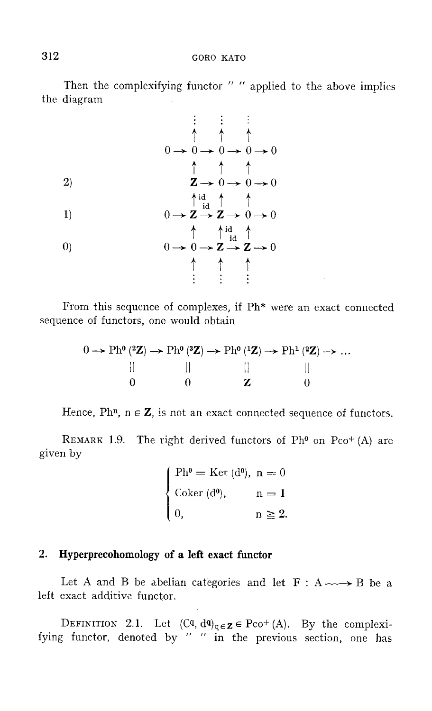Then the complexifying functor " " applied to the above implies the diagram

t t t O~O~O~O~O t t t 2) Z~O~O~O ti~d t t 1) O~Z~Z~O~O t t i~d t 0) O~O~Z~Z~O t t t

From this sequence of complexes, if Ph\* were an exact connected sequence of functors, one would obtain

$$
0 \rightarrow \text{Ph}^0(^{2}\mathbf{Z}) \rightarrow \text{Ph}^0(^{3}\mathbf{Z}) \rightarrow \text{Ph}^0(^{1}\mathbf{Z}) \rightarrow \text{Ph}^1(^{2}\mathbf{Z}) \rightarrow \dots
$$
  
|| || || || || || || || || ||

Hence, Phn,  $n \in \mathbb{Z}$ , is not an exact connected sequence of functors.

REMARK 1.9. The right derived functors of Ph<sup>o</sup> on Pco<sup>+</sup> (A) are given by

| $\int Ph^{0} = \text{Ker} (d^{0}), n = 0$ |                           |
|-------------------------------------------|---------------------------|
| $\Big\{\right.$ Coker (d <sup>o</sup> ),  | $\mathbf{n} = \mathbf{1}$ |
| $\begin{pmatrix} 0, \end{pmatrix}$        | $n \geq 2$ .              |

## 2. **Hyperprecohomology of a left exact functor**

Let A and B be abelian categories and let  $F : A \longrightarrow B$  be a left exact additive functor.

DEFINITION 2.1. Let  $(Cq, dq)_{q \in \mathbf{Z}} \in Pco^+(A)$ . By the complexifying functor, denoted by " " in the previous section, one has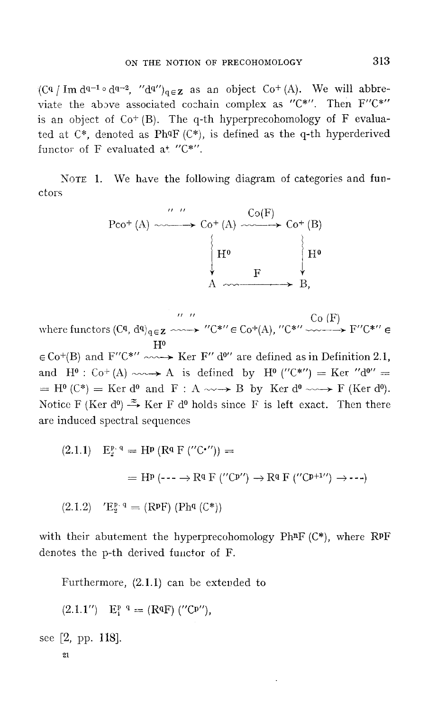$(Cq \mid Im \ dq^{-1} \circ dq^{-2}$ , " $dq''$ <sub>q $\in \mathbb{Z}$ </sub> as an object  $Co^+(A)$ . We will abbreviate the above associated cochain complex as " $C^*$ ". Then  $F''C^*$ " is an object of  $Co^{+}(B)$ . The q-th hyperprecohomology of F evaluated at  $C^*$ , denoted as PhqF  $(C^*)$ , is defined as the q-th hyperderived functor of F evaluated at " $C^*$ ".

NOTE 1. We have the following diagram of categories and functors

Pco+ (A) " " \_\_ Co+ (A) Co(F) \_\_ Co+ (B) IHO !HO t F t A ) B,

where functors  $(Cq, d^q)_{q \in \mathbf{Z}} \longrightarrow'' C^{*} \in \text{Co}^+(A)$ ,  $C^{*} \longrightarrow C^{*} \longrightarrow F^{\prime \prime} C^{* \prime \prime} \in$  $\rm{H}^o$  $\in$  Co<sup>+</sup>(B) and F''C<sup>\*''</sup>  $\sim$   $\rightarrow$  Ker F'' d<sup>o''</sup> are defined as in Definition 2.1, and  $H^0: Co^+(A) \longrightarrow A$  is defined by  $H^0$  ("C\*") = Ker "d<sup>o"</sup> =

 $=$  H<sup>o</sup> (C\*) = Ker d<sup>o</sup> and F : A  $\sim \rightarrow$  B by Ker d<sup>o</sup>  $\sim \rightarrow$  F (Ker d<sup>o</sup>). Notice F (Ker d<sup>o</sup>)  $\xi$  Ker F d<sup>o</sup> holds since F is left exact. Then there are induced spectral sequences

(2.1.1) 
$$
E_2^{p,q} = H^p (R^q F('C^{\prime\prime})) =
$$
  
\n
$$
= H^p (- - \rightarrow R^q F('C^{p\prime\prime}) \rightarrow R^q F('C^{p+1\prime\prime}) \rightarrow \cdots)
$$
\n(2.1.2)  $'E_2^{p,q} = (R^p F) (Ph^q (C^*))$ 

with their abutement the hyperprecohomology PhnF  $(C^*)$ , where RPF denotes the p-th derived functor of F.

Furthermore, (2.1.1) can be extended to

 $(2.1.1'')$  E<sup>p q</sup> = (RqF) ("Cp"),

see [2, pp. 118].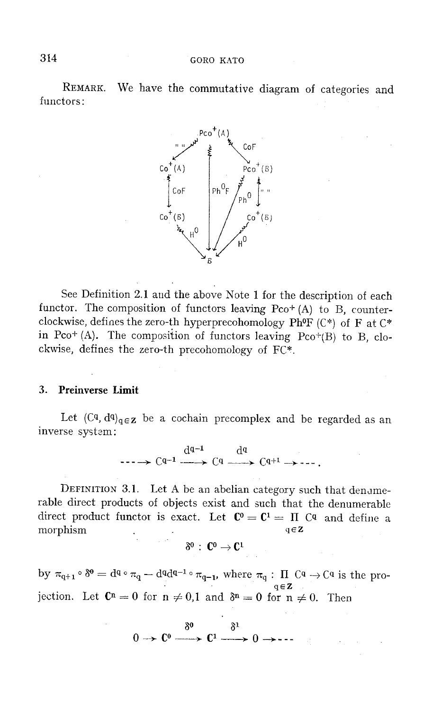REMARK. We have the commutative diagram of categories and functors:



See Definition 2.1 and the above Note 1 for the description of each functor. The composition of functors leaving  $Pco^+(A)$  to B, counterclockwise, defines the zero-th hyperprecohomology PhoF (C\*) of F at C\* in Pco<sup>+</sup> (A). The composition of functors leaving Pco<sup>+</sup>(B) to B, clockwise, defines the zero-th precohomology of FC\*.

### 3. Preinverse Limit

Let  $(C_q, d_q)_{q \in \mathbb{Z}}$  be a cochain precomplex and be regarded as an inverse system:

$$
\xrightarrow{\mathrm{d}^{q-1}} \xrightarrow{\mathrm{d}^{q}} \xrightarrow{\mathrm{d}^{q}} \xrightarrow{\mathrm{d}^{q}} \xrightarrow{\mathrm{d}^{q}} \xrightarrow{\cdots} \xrightarrow{\mathrm{d}^{q-1}} \xrightarrow{\cdots} \xrightarrow{\cdots} \xrightarrow{\mathrm{d}^{q}} \xrightarrow{\cdots} \xrightarrow{\cdots} \xrightarrow{\cdots} \xrightarrow{\cdots} \xrightarrow{\cdots} \xrightarrow{\cdots} \xrightarrow{\cdots} \xrightarrow{\cdots} \xrightarrow{\cdots} \xrightarrow{\cdots} \xrightarrow{\cdots} \xrightarrow{\cdots} \xrightarrow{\cdots} \xrightarrow{\cdots} \xrightarrow{\cdots} \xrightarrow{\cdots} \xrightarrow{\cdots} \xrightarrow{\cdots} \xrightarrow{\cdots} \xrightarrow{\cdots} \xrightarrow{\cdots} \xrightarrow{\cdots} \xrightarrow{\cdots} \xrightarrow{\cdots} \xrightarrow{\cdots} \xrightarrow{\cdots} \xrightarrow{\cdots} \xrightarrow{\cdots} \xrightarrow{\cdots} \xrightarrow{\cdots} \xrightarrow{\cdots} \xrightarrow{\cdots} \xrightarrow{\cdots} \xrightarrow{\cdots} \xrightarrow{\cdots} \xrightarrow{\cdots} \xrightarrow{\cdots} \xrightarrow{\cdots} \xrightarrow{\cdots} \xrightarrow{\cdots} \xrightarrow{\cdots} \xrightarrow{\cdots} \xrightarrow{\cdots} \xrightarrow{\cdots} \xrightarrow{\cdots} \xrightarrow{\cdots} \xrightarrow{\cdots} \xrightarrow{\cdots} \xrightarrow{\cdots} \xrightarrow{\cdots} \xrightarrow{\cdots} \xrightarrow{\cdots} \xrightarrow{\cdots} \xrightarrow{\cdots} \xrightarrow{\cdots} \xrightarrow{\cdots} \xrightarrow{\cdots} \xrightarrow{\cdots} \xrightarrow{\cdots} \xrightarrow{\cdots} \xrightarrow{\cdots} \xrightarrow{\cdots} \xrightarrow{\cdots} \xrightarrow{\cdots} \xrightarrow{\cdots} \xrightarrow{\cdots} \xrightarrow{\cdots} \xrightarrow{\cdots} \xrightarrow{\cdots} \xrightarrow{\cdots} \xrightarrow{\cdots} \xrightarrow{\cdots} \xrightarrow{\cdots} \xrightarrow{\cdots} \xrightarrow{\cdots} \xrightarrow{\cdots} \xrightarrow{\cdots} \xrightarrow{\cdots} \xrightarrow{\cdots} \xrightarrow{\cdots} \xrightarrow{\cdots} \xrightarrow{\cdots} \xrightarrow{\cdots} \xrightarrow{\cdots} \xrightarrow{\cdots} \xrightarrow{\cdots} \xrightarrow{\cdots} \xrightarrow{\cdots} \xrightarrow{\cdots} \xrightarrow{\cdots} \xrightarrow{\cdots} \xrightarrow{\cdots} \xrightarrow{\cdots} \xrightarrow{\cdots}
$$

DEFINITION 3.1. Let A be an abelian category such that denamerable direct products of objects exist and such that the denumerable direct product functor is exact. Let  $\mathbb{C}^0 = \mathbb{C}^1 = \Pi$  Cq and define a morphism  $q \in \mathbb{Z}$ 

$$
\delta^0\,:\;{\mathbb{C}}^0\to{\mathbb{C}}^1
$$

by  $\pi_{q+1} \circ \delta^0 = d^{q} \circ \pi_q - d^{q} d^{q-1} \circ \pi_{q-1}$ , where  $\pi_q : \Pi \subset q \to \mathbb{C}^q$  is the pro $q \in \mathbb{Z}$ jection. Let  $\mathbb{C}^n = 0$  for  $n \neq 0,1$  and  $\delta^n = 0$  for  $n \neq 0$ . Then

$$
0 \longrightarrow \mathbb{C}^0 \longrightarrow \mathbb{C}^1 \longrightarrow 0 \longrightarrow \cdots
$$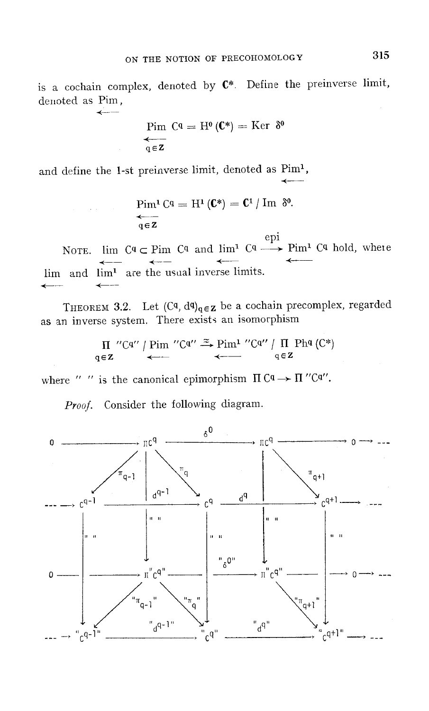is a cochain complex, denoted by  $C^*$ . Define the preinverse limit, denoted as Pim,

$$
\mathop{\mathrm{Pim}}\limits_{\mathbf{q}\in\mathbf{Z}}\mathbf{C}^{\mathbf{q}}=\mathbf{H}^{\mathbf{0}}\left(\mathbf{C}^*\right)=\mathrm{Ker}\;\;\delta^{\mathbf{0}}
$$

and define the 1-st preinverse limit, denoted as Pim<sup>1</sup>,

 $\leftarrow$ 

$$
\mathop{\mathrm{Prim}}\limits_{\mathbf{q}\in\mathbf{Z}}\mathbf{C}^{\mathbf{q}}=\mathbf{H}^{\mathbf{1}}\left(\mathbf{C}^{\ast}\right)=\mathbf{C}^{\mathbf{1}}\,/\,\mathbf{Im}\ \ \, \delta^{\mathbf{0}}.
$$

epi NOTE. lim  $C^q$   $\subset$  Pim  $C^q$  and lim<sup>1</sup>  $C^q$   $\longrightarrow$  Pim<sup>1</sup>  $C^q$  hold, where lim and lim<sup>1</sup> are the usual inverse limits.

THEOREM 3.2. Let  $(C<sup>q</sup>, d<sup>q</sup>)<sub>q</sub> \in z$  be a cochain precomplex, regarded as an inverse system. There exists an isomorphism

$$
\Pi \text{ "Cq" | } \text{Pim "Cq" } \stackrel{\approx}{\iff} \text{Pim} \text{ "Cq" | } \text{ \Pi \text{ Phq (C*)} }
$$
\n
$$
\text{q} \in \mathbf{Z}
$$

where " " is the canonical epimorphism  $\Pi \mathcal{C}^q \rightarrow \Pi'' \mathcal{C}^{q''}.$ 

Proof. Consider the following diagram.